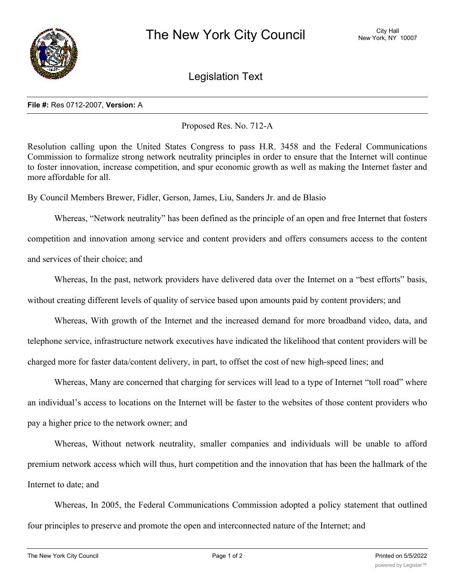

Legislation Text

## **File #:** Res 0712-2007, **Version:** A

Proposed Res. No. 712-A

Resolution calling upon the United States Congress to pass H.R. 3458 and the Federal Communications Commission to formalize strong network neutrality principles in order to ensure that the Internet will continue to foster innovation, increase competition, and spur economic growth as well as making the Internet faster and more affordable for all.

By Council Members Brewer, Fidler, Gerson, James, Liu, Sanders Jr. and de Blasio

Whereas, "Network neutrality" has been defined as the principle of an open and free Internet that fosters competition and innovation among service and content providers and offers consumers access to the content and services of their choice; and

Whereas, In the past, network providers have delivered data over the Internet on a "best efforts" basis, without creating different levels of quality of service based upon amounts paid by content providers; and

Whereas, With growth of the Internet and the increased demand for more broadband video, data, and telephone service, infrastructure network executives have indicated the likelihood that content providers will be charged more for faster data/content delivery, in part, to offset the cost of new high-speed lines; and

Whereas, Many are concerned that charging for services will lead to a type of Internet "toll road" where an individual's access to locations on the Internet will be faster to the websites of those content providers who pay a higher price to the network owner; and

Whereas, Without network neutrality, smaller companies and individuals will be unable to afford premium network access which will thus, hurt competition and the innovation that has been the hallmark of the Internet to date; and

Whereas, In 2005, the Federal Communications Commission adopted a policy statement that outlined four principles to preserve and promote the open and interconnected nature of the Internet; and

 $W_{\rm eff}$  statement declared that consumers are entitled that consumers are entitled to the Internet content of